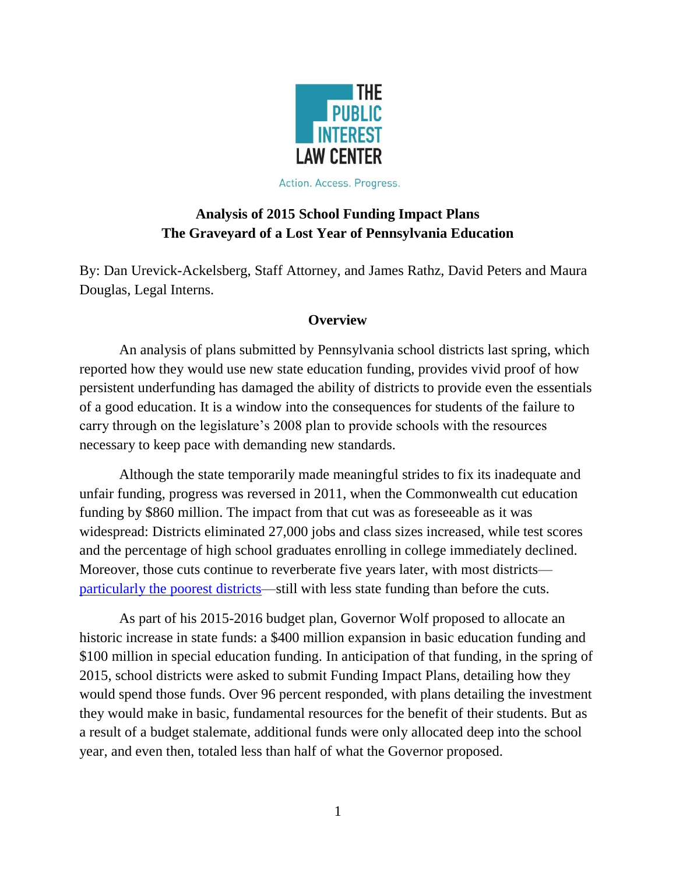

Action. Access. Progress.

# **Analysis of 2015 School Funding Impact Plans The Graveyard of a Lost Year of Pennsylvania Education**

By: Dan Urevick-Ackelsberg, Staff Attorney, and James Rathz, David Peters and Maura Douglas, Legal Interns.

## **Overview**

An analysis of plans submitted by Pennsylvania school districts last spring, which reported how they would use new state education funding, provides vivid proof of how persistent underfunding has damaged the ability of districts to provide even the essentials of a good education. It is a window into the consequences for students of the failure to carry through on the legislature's 2008 plan to provide schools with the resources necessary to keep pace with demanding new standards.

Although the state temporarily made meaningful strides to fix its inadequate and unfair funding, progress was reversed in 2011, when the Commonwealth cut education funding by \$860 million. The impact from that cut was as foreseeable as it was widespread: Districts eliminated 27,000 jobs and class sizes increased, while test scores and the percentage of high school graduates enrolling in college immediately declined. Moreover, those cuts continue to reverberate five years later, with most districts [particularly the poorest districts—](https://thirdandstate.org/2016/march/explanation-our-infographic-%E2%80%9Cespecially-poor-districts-drastic-corbett-education-cuts-rem)still with less state funding than before the cuts.

As part of his 2015-2016 budget plan, Governor Wolf proposed to allocate an historic increase in state funds: a \$400 million expansion in basic education funding and \$100 million in special education funding. In anticipation of that funding, in the spring of 2015, school districts were asked to submit Funding Impact Plans, detailing how they would spend those funds. Over 96 percent responded, with plans detailing the investment they would make in basic, fundamental resources for the benefit of their students. But as a result of a budget stalemate, additional funds were only allocated deep into the school year, and even then, totaled less than half of what the Governor proposed.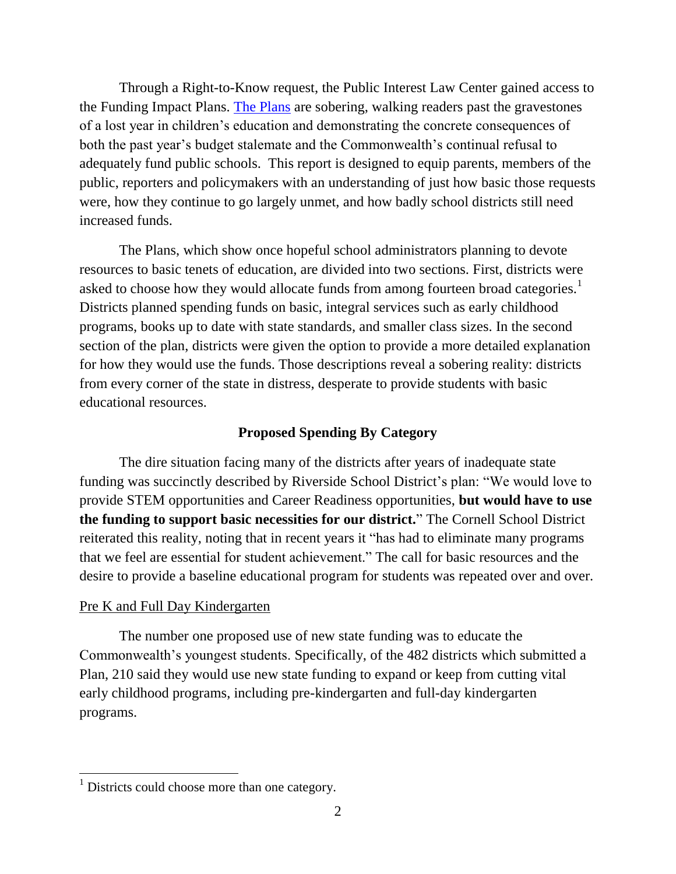Through a Right-to-Know request, the Public Interest Law Center gained access to the Funding Impact Plans. [The Plans](http://www.pilcop.org/2015-impact-plans/#sthash.x5Y30hJ3.dpbs) are sobering, walking readers past the gravestones of a lost year in children's education and demonstrating the concrete consequences of both the past year's budget stalemate and the Commonwealth's continual refusal to adequately fund public schools. This report is designed to equip parents, members of the public, reporters and policymakers with an understanding of just how basic those requests were, how they continue to go largely unmet, and how badly school districts still need increased funds.

The Plans, which show once hopeful school administrators planning to devote resources to basic tenets of education, are divided into two sections. First, districts were asked to choose how they would allocate funds from among fourteen broad categories.<sup>1</sup> Districts planned spending funds on basic, integral services such as early childhood programs, books up to date with state standards, and smaller class sizes. In the second section of the plan, districts were given the option to provide a more detailed explanation for how they would use the funds. Those descriptions reveal a sobering reality: districts from every corner of the state in distress, desperate to provide students with basic educational resources.

#### **Proposed Spending By Category**

The dire situation facing many of the districts after years of inadequate state funding was succinctly described by Riverside School District's plan: "We would love to provide STEM opportunities and Career Readiness opportunities, **but would have to use the funding to support basic necessities for our district.**" The Cornell School District reiterated this reality, noting that in recent years it "has had to eliminate many programs that we feel are essential for student achievement." The call for basic resources and the desire to provide a baseline educational program for students was repeated over and over.

#### Pre K and Full Day Kindergarten

 $\overline{\phantom{a}}$ 

The number one proposed use of new state funding was to educate the Commonwealth's youngest students. Specifically, of the 482 districts which submitted a Plan, 210 said they would use new state funding to expand or keep from cutting vital early childhood programs, including pre-kindergarten and full-day kindergarten programs.

 $<sup>1</sup>$  Districts could choose more than one category.</sup>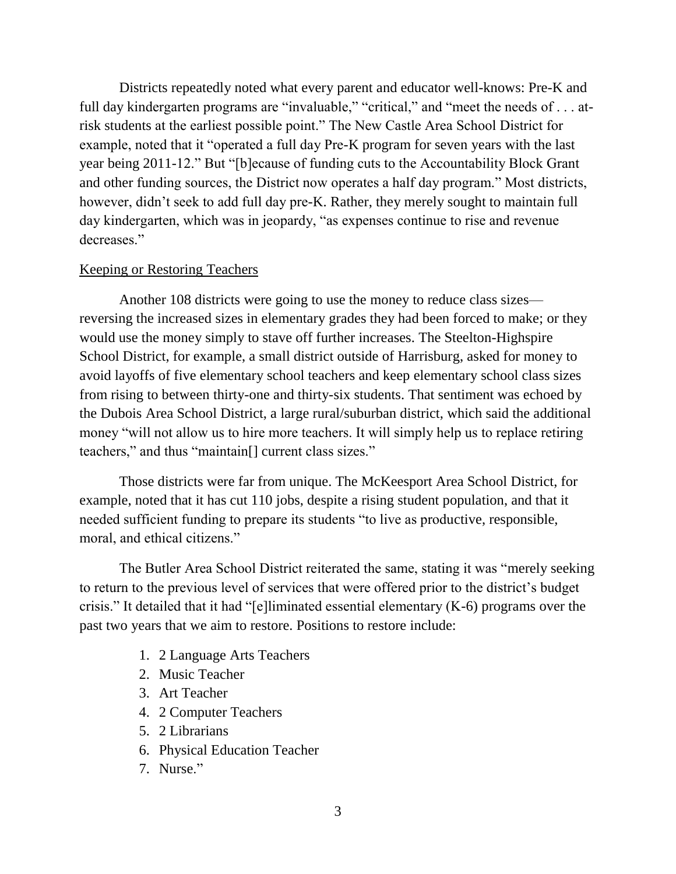Districts repeatedly noted what every parent and educator well-knows: Pre-K and full day kindergarten programs are "invaluable," "critical," and "meet the needs of . . . atrisk students at the earliest possible point." The New Castle Area School District for example, noted that it "operated a full day Pre-K program for seven years with the last year being 2011-12." But "[b]ecause of funding cuts to the Accountability Block Grant and other funding sources, the District now operates a half day program." Most districts, however, didn't seek to add full day pre-K. Rather, they merely sought to maintain full day kindergarten, which was in jeopardy, "as expenses continue to rise and revenue decreases."

### Keeping or Restoring Teachers

Another 108 districts were going to use the money to reduce class sizes reversing the increased sizes in elementary grades they had been forced to make; or they would use the money simply to stave off further increases. The Steelton-Highspire School District, for example, a small district outside of Harrisburg, asked for money to avoid layoffs of five elementary school teachers and keep elementary school class sizes from rising to between thirty-one and thirty-six students. That sentiment was echoed by the Dubois Area School District, a large rural/suburban district, which said the additional money "will not allow us to hire more teachers. It will simply help us to replace retiring teachers," and thus "maintain[] current class sizes."

Those districts were far from unique. The McKeesport Area School District, for example, noted that it has cut 110 jobs, despite a rising student population, and that it needed sufficient funding to prepare its students "to live as productive, responsible, moral, and ethical citizens."

The Butler Area School District reiterated the same, stating it was "merely seeking to return to the previous level of services that were offered prior to the district's budget crisis." It detailed that it had "[e]liminated essential elementary (K-6) programs over the past two years that we aim to restore. Positions to restore include:

- 1. 2 Language Arts Teachers
- 2. Music Teacher
- 3. Art Teacher
- 4. 2 Computer Teachers
- 5. 2 Librarians
- 6. Physical Education Teacher
- 7. Nurse."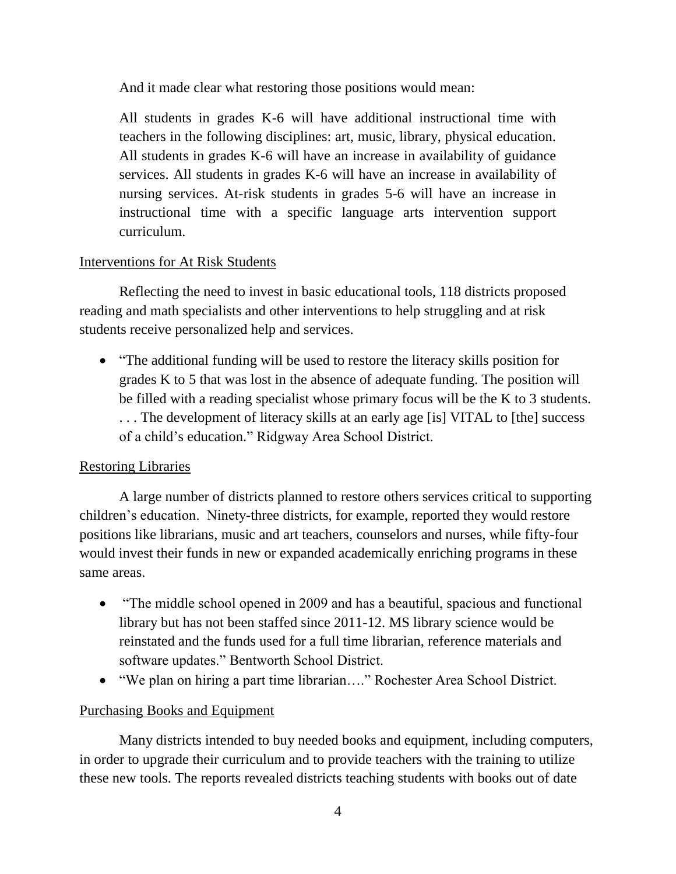And it made clear what restoring those positions would mean:

All students in grades K-6 will have additional instructional time with teachers in the following disciplines: art, music, library, physical education. All students in grades K-6 will have an increase in availability of guidance services. All students in grades K-6 will have an increase in availability of nursing services. At-risk students in grades 5-6 will have an increase in instructional time with a specific language arts intervention support curriculum.

# Interventions for At Risk Students

Reflecting the need to invest in basic educational tools, 118 districts proposed reading and math specialists and other interventions to help struggling and at risk students receive personalized help and services.

• "The additional funding will be used to restore the literacy skills position for grades K to 5 that was lost in the absence of adequate funding. The position will be filled with a reading specialist whose primary focus will be the K to 3 students. . . . The development of literacy skills at an early age [is] VITAL to [the] success of a child's education." Ridgway Area School District.

## Restoring Libraries

A large number of districts planned to restore others services critical to supporting children's education. Ninety-three districts, for example, reported they would restore positions like librarians, music and art teachers, counselors and nurses, while fifty-four would invest their funds in new or expanded academically enriching programs in these same areas.

- "The middle school opened in 2009 and has a beautiful, spacious and functional library but has not been staffed since 2011-12. MS library science would be reinstated and the funds used for a full time librarian, reference materials and software updates." Bentworth School District.
- "We plan on hiring a part time librarian…." Rochester Area School District.

## Purchasing Books and Equipment

Many districts intended to buy needed books and equipment, including computers, in order to upgrade their curriculum and to provide teachers with the training to utilize these new tools. The reports revealed districts teaching students with books out of date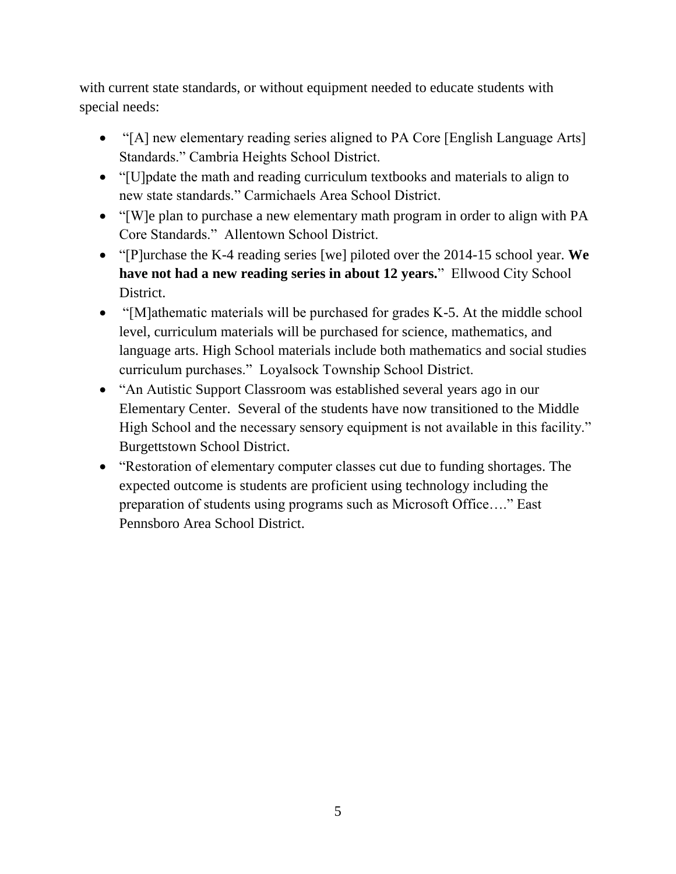with current state standards, or without equipment needed to educate students with special needs:

- "[A] new elementary reading series aligned to PA Core [English Language Arts] Standards." Cambria Heights School District.
- "[U]pdate the math and reading curriculum textbooks and materials to align to new state standards." Carmichaels Area School District.
- "[W]e plan to purchase a new elementary math program in order to align with PA Core Standards." Allentown School District.
- "[P]urchase the K-4 reading series [we] piloted over the 2014-15 school year. **We have not had a new reading series in about 12 years.**" Ellwood City School District.
- "[M]athematic materials will be purchased for grades K-5. At the middle school level, curriculum materials will be purchased for science, mathematics, and language arts. High School materials include both mathematics and social studies curriculum purchases." Loyalsock Township School District.
- "An Autistic Support Classroom was established several years ago in our Elementary Center. Several of the students have now transitioned to the Middle High School and the necessary sensory equipment is not available in this facility." Burgettstown School District.
- "Restoration of elementary computer classes cut due to funding shortages. The expected outcome is students are proficient using technology including the preparation of students using programs such as Microsoft Office…." East Pennsboro Area School District.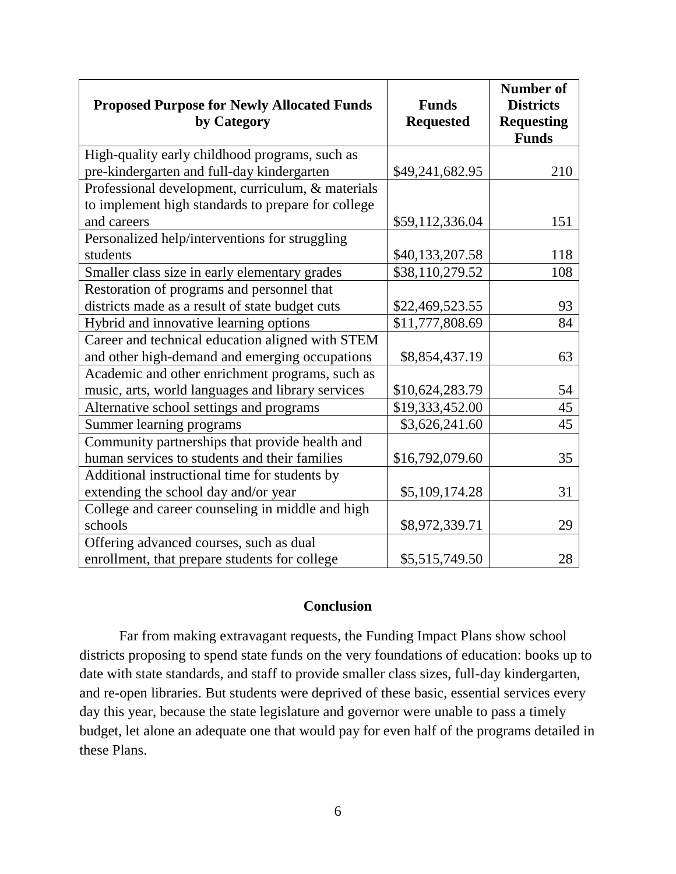|                                                    |                  | <b>Number of</b>                  |
|----------------------------------------------------|------------------|-----------------------------------|
| <b>Proposed Purpose for Newly Allocated Funds</b>  | <b>Funds</b>     | <b>Districts</b>                  |
| by Category                                        | <b>Requested</b> | <b>Requesting</b><br><b>Funds</b> |
| High-quality early childhood programs, such as     |                  |                                   |
| pre-kindergarten and full-day kindergarten         | \$49,241,682.95  | 210                               |
| Professional development, curriculum, & materials  |                  |                                   |
| to implement high standards to prepare for college |                  |                                   |
| and careers                                        | \$59,112,336.04  | 151                               |
| Personalized help/interventions for struggling     |                  |                                   |
| students                                           | \$40,133,207.58  | 118                               |
| Smaller class size in early elementary grades      | \$38,110,279.52  | 108                               |
| Restoration of programs and personnel that         |                  |                                   |
| districts made as a result of state budget cuts    | \$22,469,523.55  | 93                                |
| Hybrid and innovative learning options             | \$11,777,808.69  | 84                                |
| Career and technical education aligned with STEM   |                  |                                   |
| and other high-demand and emerging occupations     | \$8,854,437.19   | 63                                |
| Academic and other enrichment programs, such as    |                  |                                   |
| music, arts, world languages and library services  | \$10,624,283.79  | 54                                |
| Alternative school settings and programs           | \$19,333,452.00  | 45                                |
| Summer learning programs                           | \$3,626,241.60   | 45                                |
| Community partnerships that provide health and     |                  |                                   |
| human services to students and their families      | \$16,792,079.60  | 35                                |
| Additional instructional time for students by      |                  |                                   |
| extending the school day and/or year               | \$5,109,174.28   | 31                                |
| College and career counseling in middle and high   |                  |                                   |
| schools                                            | \$8,972,339.71   | 29                                |
| Offering advanced courses, such as dual            |                  |                                   |
| enrollment, that prepare students for college      | \$5,515,749.50   | 28                                |

### **Conclusion**

Far from making extravagant requests, the Funding Impact Plans show school districts proposing to spend state funds on the very foundations of education: books up to date with state standards, and staff to provide smaller class sizes, full-day kindergarten, and re-open libraries. But students were deprived of these basic, essential services every day this year, because the state legislature and governor were unable to pass a timely budget, let alone an adequate one that would pay for even half of the programs detailed in these Plans.